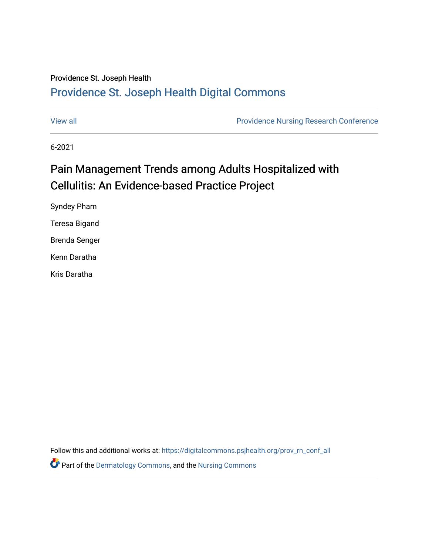#### Providence St. Joseph Health

#### [Providence St. Joseph Health Digital Commons](https://digitalcommons.psjhealth.org/)

[View all](https://digitalcommons.psjhealth.org/prov_rn_conf_all) [Providence Nursing Research Conference](https://digitalcommons.psjhealth.org/prov_rn_conf) 

6-2021

#### Pain Management Trends among Adults Hospitalized with Cellulitis: An Evidence-based Practice Project

Syndey Pham Teresa Bigand Brenda Senger Kenn Daratha Kris Daratha

Follow this and additional works at: [https://digitalcommons.psjhealth.org/prov\\_rn\\_conf\\_all](https://digitalcommons.psjhealth.org/prov_rn_conf_all?utm_source=digitalcommons.psjhealth.org%2Fprov_rn_conf_all%2F26&utm_medium=PDF&utm_campaign=PDFCoverPages) 

Part of the [Dermatology Commons,](http://network.bepress.com/hgg/discipline/684?utm_source=digitalcommons.psjhealth.org%2Fprov_rn_conf_all%2F26&utm_medium=PDF&utm_campaign=PDFCoverPages) and the [Nursing Commons](http://network.bepress.com/hgg/discipline/718?utm_source=digitalcommons.psjhealth.org%2Fprov_rn_conf_all%2F26&utm_medium=PDF&utm_campaign=PDFCoverPages)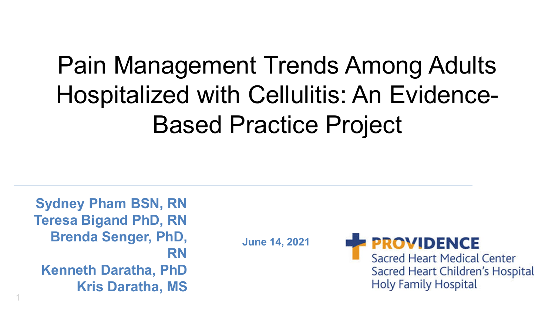## Pain Management Trends Among Adults Hospitalized with Cellulitis: An Evidence-Based Practice Project

**Sydney Pham BSN, RN Teresa Bigand PhD, RN Brenda Senger, PhD, RN Kenneth Daratha, PhD Kris Daratha, MS**

1

**June 14, 2021**

**ROVIDENCE** Sacred Heart Medical Center Sacred Heart Children's Hospital

**Holy Family Hospital**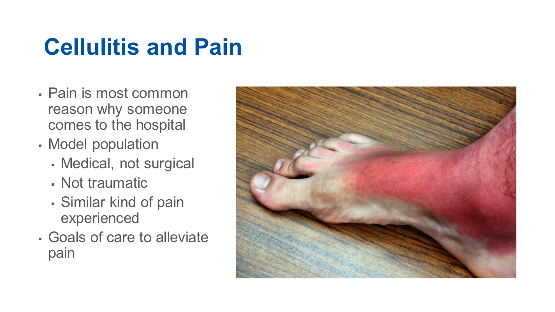## **Cellulitis and Pain**

- Pain is most common reason why someone comes to the hospital
- Model population
	- Medical, not surgical
	- Not traumatic
	- Similar kind of pain experienced
- Goals of care to alleviate pain

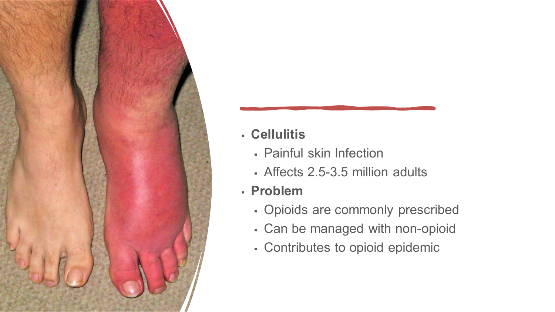

#### **Cellulitis**

- Painful skin Infection
- Affects 2.5-3.5 million adults
- **Problem**
	- Opioids are commonly prescribed
	- Can be managed with non-opioid
	- Contributes to opioid epidemic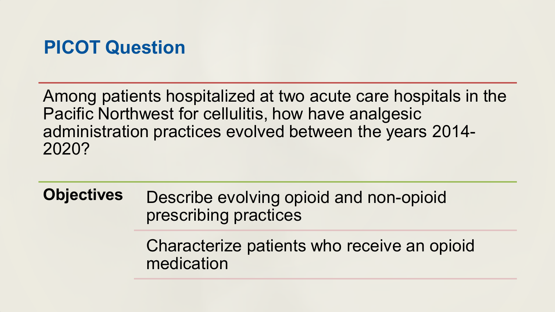### **PICOT Question**

Among patients hospitalized at two acute care hospitals in the Pacific Northwest for cellulitis, how have analgesic administration practices evolved between the years 2014- 2020?

**Objectives** Describe evolving opioid and non-opioid prescribing practices

> Characterize patients who receive an opioid medication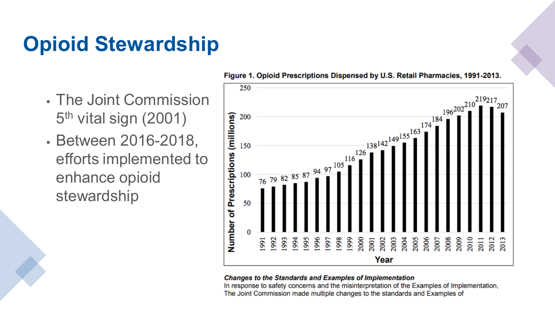## **Opioid Stewardship**

- The Joint Commission 5th vital sign (2001)
- Between 2016-2018, efforts implemented to enhance opioid stewardship



#### Figure 1. Opioid Prescriptions Dispensed by U.S. Retail Pharmacies, 1991-2013.

#### **Changes to the Standards and Examples of Implementation**

In response to safety concerns and the misinterpretation of the Examples of Implementation, The Joint Commission made multiple changes to the standards and Examples of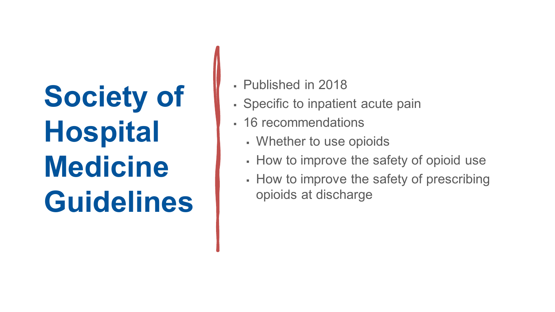## **Society of Hospital Medicine Guidelines**

- Published in 2018
- Specific to inpatient acute pain
- 16 recommendations
	- Whether to use opioids
	- How to improve the safety of opioid use
	- How to improve the safety of prescribing opioids at discharge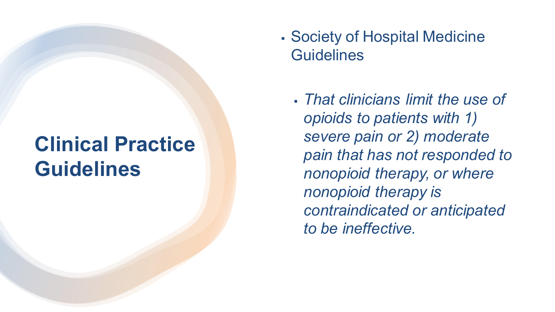## **Clinical Practice Guidelines**

- Society of Hospital Medicine **Guidelines** 
	- *That clinicians limit the use of opioids to patients with 1) severe pain or 2) moderate pain that has not responded to nonopioid therapy, or where nonopioid therapy is contraindicated or anticipated to be ineffective.*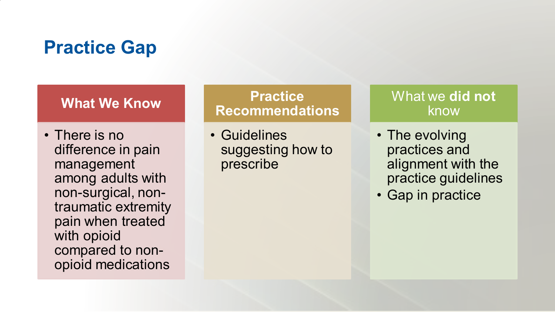### **Practice Gap**

#### **What We Know**

• There is no difference in pain management among adults with non-surgical, nontraumatic extremity pain when treated with opioid compared to nonopioid medications

#### **Practice Recommendations**

• Guidelines suggesting how to prescribe

#### What we **did not**  know

- The evolving practices and alignment with the practice guidelines
- Gap in practice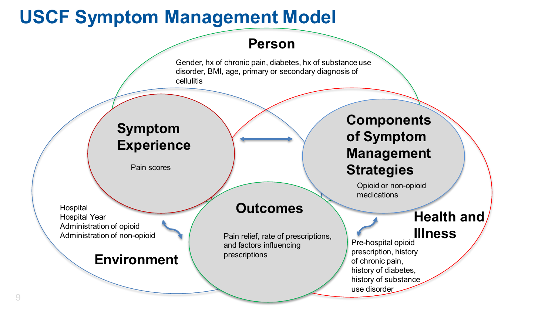## **USCF Symptom Management Model**



Gender, hx of chronic pain, diabetes, hx of substance use disorder, BMI, age, primary or secondary diagnosis of cellulitis

#### **Symptom Experience**

Pain scores

**Hospital** Hospital Year Administration of opioid Administration of non-opioid

#### **Environment**

#### **Outcomes**

Pain relief, rate of prescriptions, and factors influencing prescriptions

**Components of Symptom Management Strategies**

> Opioid or non-opioid medications

#### **Health and**

#### **Illness**

Pre-hospital opioid prescription, history of chronic pain, history of diabetes, history of substance use disorder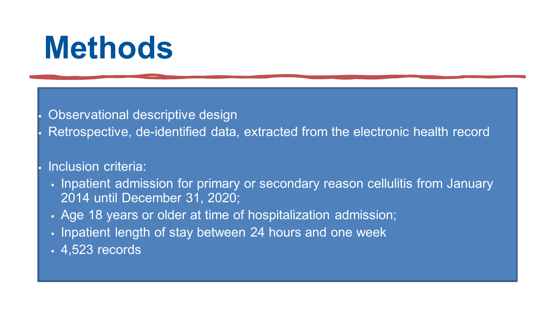## **Methods**

Observational descriptive design

Retrospective, de-identified data, extracted from the electronic health record

#### Inclusion criteria:

- I Inpatient admission for primary or secondary reason cellulitis from January 2014 until December 31, 2020;
- Age 18 years or older at time of hospitalization admission;
- Inpatient length of stay between 24 hours and one week
- 4,523 records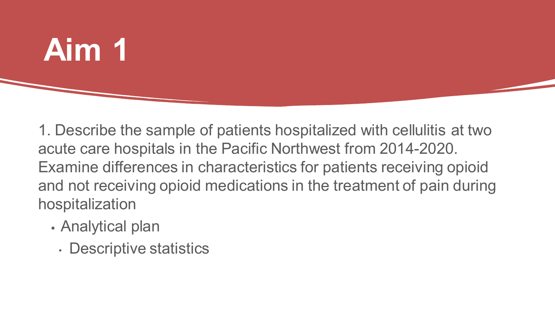## **Aim 1**

1. Describe the sample of patients hospitalized with cellulitis at two acute care hospitals in the Pacific Northwest from 2014-2020. Examine differences in characteristics for patients receiving opioid and not receiving opioid medications in the treatment of pain during hospitalization

- Analytical plan
	- Descriptive statistics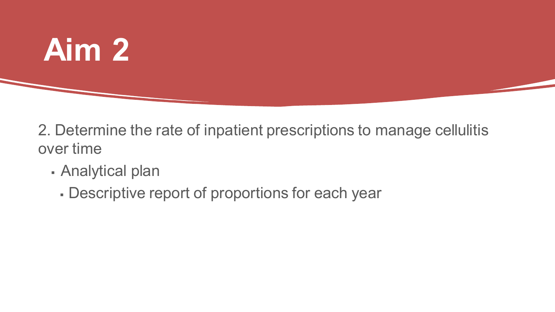

Analytical plan

**Aim 2** 

Descriptive report of proportions for each year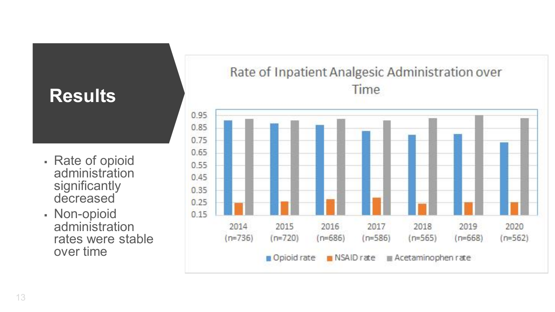### **Results**

- Rate of opioid administration significantly decreased
- Non-opioid administration rates were stable over time

#### Rate of Inpatient Analgesic Administration over Time

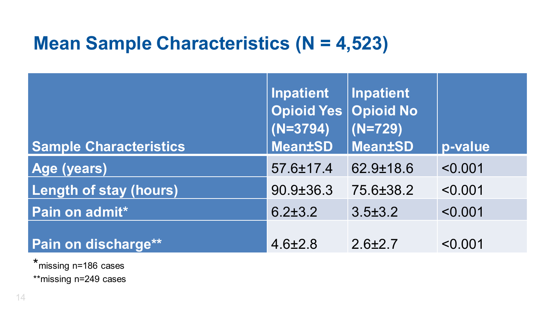## **Mean Sample Characteristics (N = 4,523)**

| <b>Sample Characteristics</b> | <b>Inpatient</b><br>Opioid Yes Opioid No<br>$(N=3794)$<br><b>Mean±SD</b> | <b>Inpatient</b><br>$(N=729)$<br><b>Mean±SD</b> | p-value |
|-------------------------------|--------------------------------------------------------------------------|-------------------------------------------------|---------|
| Age (years)                   | 57.6±17.4                                                                | $62.9 \pm 18.6$                                 | < 0.001 |
| <b>Length of stay (hours)</b> | $90.9 \pm 36.3$                                                          | 75.6±38.2                                       | < 0.001 |
| Pain on admit*                | $6.2 \pm 3.2$                                                            | $3.5 \pm 3.2$                                   | < 0.001 |
| Pain on discharge**           | $4.6 \pm 2.8$                                                            | $2.6 \pm 2.7$                                   | < 0.001 |

\*missing n=186 cases \*\*missing n=249 cases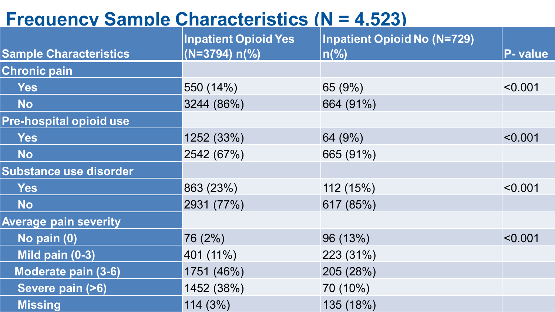## **Frequency Sample Characteristics (N = 4,523)**

|                                | <b>Inpatient Opioid Yes</b> | <b>Inpatient Opioid No (N=729)</b> |                |
|--------------------------------|-----------------------------|------------------------------------|----------------|
| <b>Sample Characteristics</b>  | $(N=3794) n\frac{9}{6}$     | $ n\binom{0}{0}$                   | <b>P-value</b> |
| <b>Chronic pain</b>            |                             |                                    |                |
| <b>Yes</b>                     | 550 (14%)                   | 65 (9%)                            | < 0.001        |
| <b>No</b>                      | 3244 (86%)                  | 664 (91%)                          |                |
| <b>Pre-hospital opioid use</b> |                             |                                    |                |
| <b>Yes</b>                     | 1252 (33%)                  | 64 (9%)                            | < 0.001        |
| <b>No</b>                      | 2542 (67%)                  | 665 (91%)                          |                |
| <b>Substance use disorder</b>  |                             |                                    |                |
| <b>Yes</b>                     | 863 (23%)                   | 112 (15%)                          | < 0.001        |
| <b>No</b>                      | 2931 (77%)                  | 617 (85%)                          |                |
| <b>Average pain severity</b>   |                             |                                    |                |
| No pain (0)                    | 76 (2%)                     | 96 (13%)                           | < 0.001        |
| Mild pain $(0-3)$              | 401 (11%)                   | 223 (31%)                          |                |
| <b>Moderate pain (3-6)</b>     | 1751 (46%)                  | 205 (28%)                          |                |
| Severe pain (>6)               | 1452 (38%)                  | 70 (10%)                           |                |
| <b>Missing</b>                 | 114(3%)                     | 135 (18%)                          |                |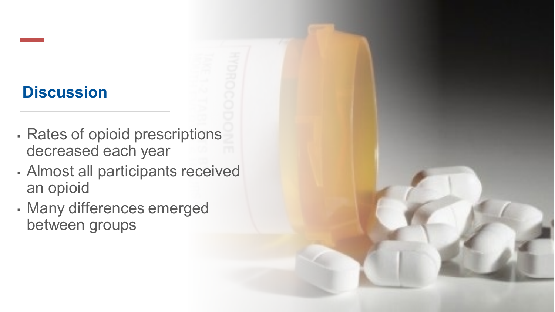### **Discussion**

- Rates of opioid prescriptions decreased each year
- Almost all participants received an opioid
- Many differences emerged between groups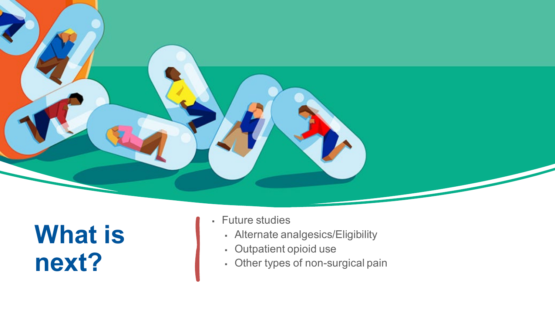

## **What is next?**

- Future studies
	- Alternate analgesics/Eligibility
	- Outpatient opioid use
	- Other types of non-surgical pain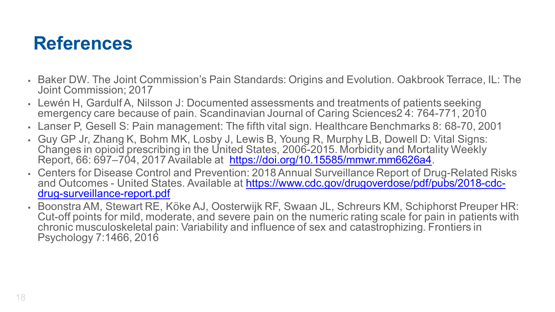## **References**

- Baker DW. The Joint Commission's Pain Standards: Origins and Evolution. Oakbrook Terrace, IL: The Joint Commission; 2017
- Lewén H, GardulfA, Nilsson J: Documented assessments and treatments of patients seeking emergency care because of pain. Scandinavian Journal of Caring Sciences2 4: 764-771, 2010
- Lanser P, Gesell S: Pain management: The fifth vital sign. Healthcare Benchmarks 8: 68-70, 2001
- Guy GP Jr, Zhang K, Bohm MK, Losby J, Lewis B, Young R, Murphy LB, Dowell D: Vital Signs: Changes in opioid prescribing in the United States, 2006-2015. Morbidity and Mortality Weekly Report, 66: 697–704, 2017 Available at <https://doi.org/10.15585/mmwr.mm6626a4>.
- Centers for Disease Control and Prevention: 2018 Annual Surveillance Report of Drug-Related Risks and Outcomes - [United States. Available at https://www.cdc.gov/drugoverdose/pdf/pubs/2018-cdc-](https://www.cdc.gov/drugoverdose/pdf/pubs/2018-cdc-drug-surveillance-report.pdf)<br>drug-surveillance-report.pdf
- Boonstra AM, Stewart RE, Köke AJ, Oosterwijk RF, Swaan JL, Schreurs KM, Schiphorst Preuper HR: Cut-off points for mild, moderate, and severe pain on the numeric rating scale for pain in patients with chronic musculoskeletal pain: Variability and influence of sex and catastrophizing. Frontiers in Psychology 7:1466, 2016